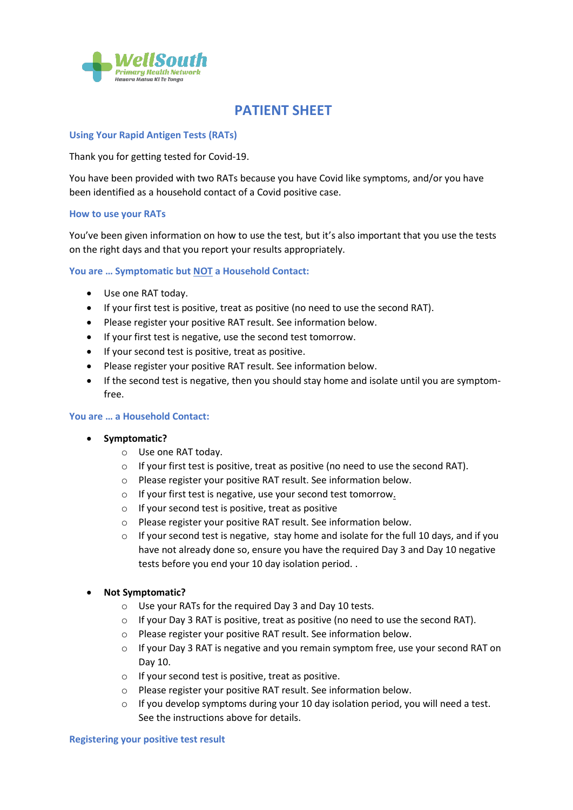

# **PATIENT SHEET**

## **Using Your Rapid Antigen Tests (RATs)**

Thank you for getting tested for Covid-19.

You have been provided with two RATs because you have Covid like symptoms, and/or you have been identified as a household contact of a Covid positive case.

## **How to use your RATs**

You've been given information on how to use the test, but it's also important that you use the tests on the right days and that you report your results appropriately.

### **You are … Symptomatic but NOT a Household Contact:**

- Use one RAT today.
- If your first test is positive, treat as positive (no need to use the second RAT).
- Please register your positive RAT result. See information below.
- If your first test is negative, use the second test tomorrow.
- If your second test is positive, treat as positive.
- Please register your positive RAT result. See information below.
- If the second test is negative, then you should stay home and isolate until you are symptomfree.

## **You are … a Household Contact:**

- **Symptomatic?**
	- o Use one RAT today.
	- $\circ$  If your first test is positive, treat as positive (no need to use the second RAT).
	- o Please register your positive RAT result. See information below.
	- o If your first test is negative, use your second test tomorrow.
	- o If your second test is positive, treat as positive
	- o Please register your positive RAT result. See information below.
	- $\circ$  If your second test is negative, stay home and isolate for the full 10 days, and if you have not already done so, ensure you have the required Day 3 and Day 10 negative tests before you end your 10 day isolation period. .

## • **Not Symptomatic?**

- o Use your RATs for the required Day 3 and Day 10 tests.
- $\circ$  If your Day 3 RAT is positive, treat as positive (no need to use the second RAT).
- o Please register your positive RAT result. See information below.
- $\circ$  If your Day 3 RAT is negative and you remain symptom free, use your second RAT on Day 10.
- o If your second test is positive, treat as positive.
- o Please register your positive RAT result. See information below.
- $\circ$  If you develop symptoms during your 10 day isolation period, you will need a test. See the instructions above for details.

#### **Registering your positive test result**